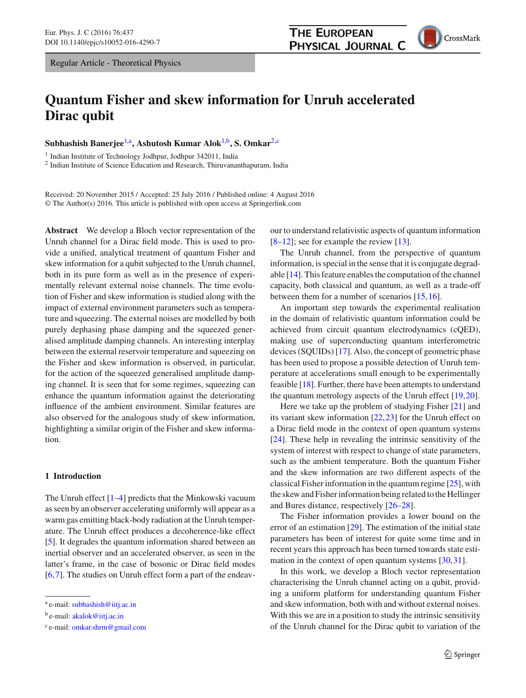Regular Article - Theoretical Physics

# **Quantum Fisher and skew information for Unruh accelerated Dirac qubit**

 $\mathbf{Subhashish Banerjee}^{1,a}, \mathbf{Ashutosh Kumar\,Alok}^{1,b}, \mathbf{S. Omkar}^{2,c}$  $\mathbf{Subhashish Banerjee}^{1,a}, \mathbf{Ashutosh Kumar\,Alok}^{1,b}, \mathbf{S. Omkar}^{2,c}$  $\mathbf{Subhashish Banerjee}^{1,a}, \mathbf{Ashutosh Kumar\,Alok}^{1,b}, \mathbf{S. Omkar}^{2,c}$  $\mathbf{Subhashish Banerjee}^{1,a}, \mathbf{Ashutosh Kumar\,Alok}^{1,b}, \mathbf{S. Omkar}^{2,c}$  $\mathbf{Subhashish Banerjee}^{1,a}, \mathbf{Ashutosh Kumar\,Alok}^{1,b}, \mathbf{S. Omkar}^{2,c}$ 

<sup>1</sup> Indian Institute of Technology Jodhpur, Jodhpur 342011, India

<sup>2</sup> Indian Institute of Science Education and Research, Thiruvananthapuram, India

Received: 20 November 2015 / Accepted: 25 July 2016 / Published online: 4 August 2016 © The Author(s) 2016. This article is published with open access at Springerlink.com

**Abstract** We develop a Bloch vector representation of the Unruh channel for a Dirac field mode. This is used to provide a unified, analytical treatment of quantum Fisher and skew information for a qubit subjected to the Unruh channel, both in its pure form as well as in the presence of experimentally relevant external noise channels. The time evolution of Fisher and skew information is studied along with the impact of external environment parameters such as temperature and squeezing. The external noises are modelled by both purely dephasing phase damping and the squeezed generalised amplitude damping channels. An interesting interplay between the external reservoir temperature and squeezing on the Fisher and skew information is observed, in particular, for the action of the squeezed generalised amplitude damping channel. It is seen that for some regimes, squeezing can enhance the quantum information against the deteriorating influence of the ambient environment. Similar features are also observed for the analogous study of skew information, highlighting a similar origin of the Fisher and skew information.

## **1 Introduction**

The Unruh effect [\[1](#page-8-0)[–4](#page-8-1)] predicts that the Minkowski vacuum as seen by an observer accelerating uniformly will appear as a warm gas emitting black-body radiation at the Unruh temperature. The Unruh effect produces a decoherence-like effect [\[5](#page-8-2)]. It degrades the quantum information shared between an inertial observer and an accelerated observer, as seen in the latter's frame, in the case of bosonic or Dirac field modes [\[6](#page-8-3),[7\]](#page-8-4). The studies on Unruh effect form a part of the endeav<span id="page-0-0"></span>our to understand relativistic aspects of quantum information  $[8-12]$  $[8-12]$ ; see for example the review  $[13]$ .

**THE EUROPEAN** 

**PHYSICAL JOURNAL C** 

The Unruh channel, from the perspective of quantum information, is special in the sense that it is conjugate degradable [\[14\]](#page-8-8). This feature enables the computation of the channel capacity, both classical and quantum, as well as a trade-off between them for a number of scenarios [\[15](#page-8-9)[,16](#page-8-10)].

An important step towards the experimental realisation in the domain of relativistic quantum information could be achieved from circuit quantum electrodynamics (cQED), making use of superconducting quantum interferometric devices (SQUIDs) [\[17](#page-8-11)]. Also, the concept of geometric phase has been used to propose a possible detection of Unruh temperature at accelerations small enough to be experimentally feasible [\[18](#page-8-12)]. Further, there have been attempts to understand the quantum metrology aspects of the Unruh effect [\[19](#page-8-13),[20\]](#page-8-14).

Here we take up the problem of studying Fisher [\[21](#page-8-15)] and its variant skew information [\[22,](#page-8-16)[23\]](#page-8-17) for the Unruh effect on a Dirac field mode in the context of open quantum systems [\[24](#page-8-18)]. These help in revealing the intrinsic sensitivity of the system of interest with respect to change of state parameters, such as the ambient temperature. Both the quantum Fisher and the skew information are two different aspects of the classical Fisher information in the quantum regime [\[25](#page-8-19)], with the skew and Fisher information being related to the Hellinger and Bures distance, respectively [\[26](#page-8-20)[–28\]](#page-8-21).

The Fisher information provides a lower bound on the error of an estimation [\[29\]](#page-8-22). The estimation of the initial state parameters has been of interest for quite some time and in recent years this approach has been turned towards state estimation in the context of open quantum systems [\[30](#page-8-23),[31](#page-8-24)].

In this work, we develop a Bloch vector representation characterising the Unruh channel acting on a qubit, providing a uniform platform for understanding quantum Fisher and skew information, both with and without external noises. With this we are in a position to study the intrinsic sensitivity of the Unruh channel for the Dirac qubit to variation of the

a e-mail: [subhashish@iitj.ac.in](mailto:subhashish@iitj.ac.in)

<sup>&</sup>lt;sup>b</sup> e-mail: [akalok@iitj.ac.in](mailto:akalok@iitj.ac.in)

<sup>&</sup>lt;sup>c</sup> e-mail: [omkar.shrm@gmail.com](mailto:omkar.shrm@gmail.com)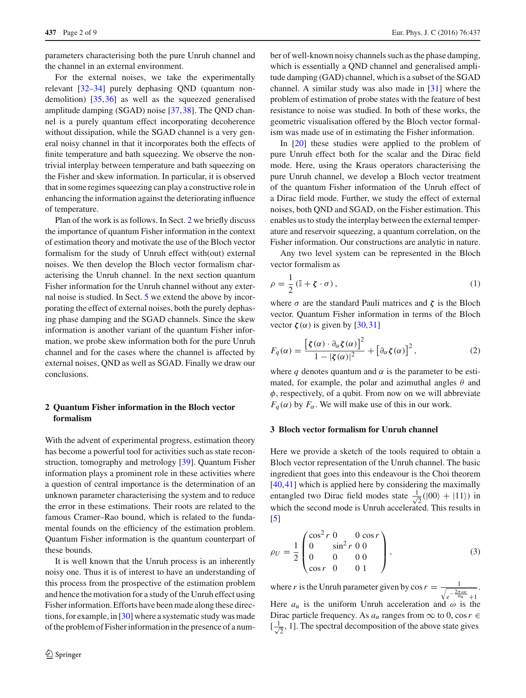parameters characterising both the pure Unruh channel and the channel in an external environment.

For the external noises, we take the experimentally relevant [\[32](#page-8-25)[–34](#page-8-26)] purely dephasing QND (quantum nondemolition) [\[35,](#page-8-27)[36\]](#page-8-28) as well as the squeezed generalised amplitude damping (SGAD) noise [\[37,](#page-8-29)[38\]](#page-8-30). The QND channel is a purely quantum effect incorporating decoherence without dissipation, while the SGAD channel is a very general noisy channel in that it incorporates both the effects of finite temperature and bath squeezing. We observe the nontrivial interplay between temperature and bath squeezing on the Fisher and skew information. In particular, it is observed that in some regimes squeezing can play a constructive role in enhancing the information against the deteriorating influence of temperature.

Plan of the work is as follows. In Sect. [2](#page-1-0) we briefly discuss the importance of quantum Fisher information in the context of estimation theory and motivate the use of the Bloch vector formalism for the study of Unruh effect with(out) external noises. We then develop the Bloch vector formalism characterising the Unruh channel. In the next section quantum Fisher information for the Unruh channel without any external noise is studied. In Sect. [5](#page-3-0) we extend the above by incorporating the effect of external noises, both the purely dephasing phase damping and the SGAD channels. Since the skew information is another variant of the quantum Fisher information, we probe skew information both for the pure Unruh channel and for the cases where the channel is affected by external noises, QND as well as SGAD. Finally we draw our conclusions.

## <span id="page-1-0"></span>**2 Quantum Fisher information in the Bloch vector formalism**

With the advent of experimental progress, estimation theory has become a powerful tool for activities such as state reconstruction, tomography and metrology [\[39\]](#page-8-31). Quantum Fisher information plays a prominent role in these activities where a question of central importance is the determination of an unknown parameter characterising the system and to reduce the error in these estimations. Their roots are related to the famous Cramer–Rao bound, which is related to the fundamental founds on the efficiency of the estimation problem. Quantum Fisher information is the quantum counterpart of these bounds.

It is well known that the Unruh process is an inherently noisy one. Thus it is of interest to have an understanding of this process from the prospective of the estimation problem and hence the motivation for a study of the Unruh effect using Fisher information. Efforts have been made along these directions, for example, in [\[30\]](#page-8-23) where a systematic study was made of the problem of Fisher information in the presence of a number of well-known noisy channels such as the phase damping, which is essentially a QND channel and generalised amplitude damping (GAD) channel, which is a subset of the SGAD channel. A similar study was also made in [\[31\]](#page-8-24) where the problem of estimation of probe states with the feature of best resistance to noise was studied. In both of these works, the geometric visualisation offered by the Bloch vector formalism was made use of in estimating the Fisher information.

In [\[20\]](#page-8-14) these studies were applied to the problem of pure Unruh effect both for the scalar and the Dirac field mode. Here, using the Kraus operators characterising the pure Unruh channel, we develop a Bloch vector treatment of the quantum Fisher information of the Unruh effect of a Dirac field mode. Further, we study the effect of external noises, both QND and SGAD, on the Fisher estimation. This enables us to study the interplay between the external temperature and reservoir squeezing, a quantum correlation, on the Fisher information. Our constructions are analytic in nature.

Any two level system can be represented in the Bloch vector formalism as

$$
\rho = \frac{1}{2} \left( \mathbb{I} + \zeta \cdot \sigma \right),\tag{1}
$$

where  $\sigma$  are the standard Pauli matrices and  $\zeta$  is the Bloch vector. Quantum Fisher information in terms of the Bloch vector  $\zeta(\alpha)$  is given by [\[30](#page-8-23),[31](#page-8-24)]

<span id="page-1-3"></span>
$$
F_q(\alpha) = \frac{\left[\zeta(\alpha) \cdot \partial_\alpha \zeta(\alpha)\right]^2}{1 - |\zeta(\alpha)|^2} + \left[\partial_\alpha \zeta(\alpha)\right]^2,\tag{2}
$$

where q denotes quantum and  $\alpha$  is the parameter to be estimated, for example, the polar and azimuthal angles  $\theta$  and  $\phi$ , respectively, of a qubit. From now on we will abbreviate  $F_q(\alpha)$  by  $F_\alpha$ . We will make use of this in our work.

## **3 Bloch vector formalism for Unruh channel**

Here we provide a sketch of the tools required to obtain a Bloch vector representation of the Unruh channel. The basic ingredient that goes into this endeavour is the Choi theorem [\[40](#page-8-32),[41\]](#page-8-33) which is applied here by considering the maximally entangled two Dirac field modes state  $\frac{1}{\sqrt{2}}$  $\frac{1}{2}(|00\rangle + |11\rangle)$  in which the second mode is Unruh accelerated. This results in [\[5](#page-8-2)]

<span id="page-1-1"></span>
$$
\rho U = \frac{1}{2} \begin{pmatrix} \cos^2 r & 0 & 0 & 0 \cos r \\ 0 & \sin^2 r & 0 & 0 \\ 0 & 0 & 0 & 0 \\ \cos r & 0 & 0 & 1 \end{pmatrix},
$$
(3)

<span id="page-1-2"></span>where *r* is the Unruh parameter given by  $\cos r = \frac{1}{\sqrt{2\pi}}$  $e^{-\frac{2\pi \omega c}{a_u}}+1$ . Here  $a_u$  is the uniform Unruh acceleration and  $\omega$  is the Dirac particle frequency. As  $a_u$  ranges from  $\infty$  to 0, cos  $r \in$  $\left[\frac{1}{\sqrt{2}}\right]$  $\frac{1}{2}$ , 1]. The spectral decomposition of the above state gives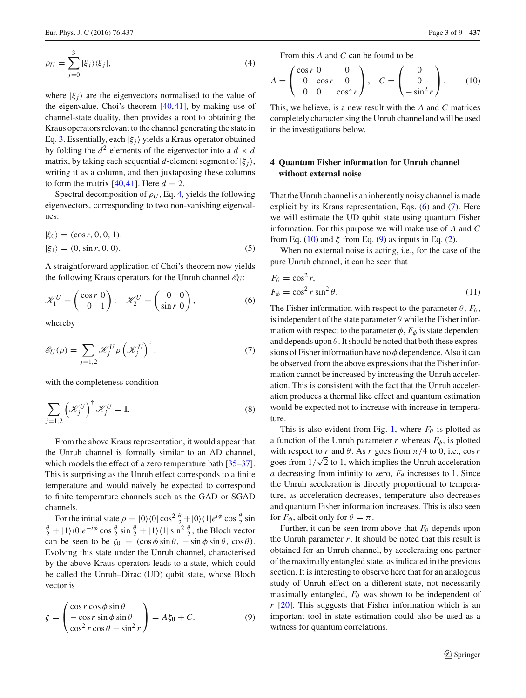$$
\rho_U = \sum_{j=0}^{3} |\xi_j\rangle\langle\xi_j|,\tag{4}
$$

where  $|\xi_i\rangle$  are the eigenvectors normalised to the value of the eigenvalue. Choi's theorem  $[40, 41]$  $[40, 41]$ , by making use of channel-state duality, then provides a root to obtaining the Kraus operators relevant to the channel generating the state in Eq. [3.](#page-1-1) Essentially, each |ξ *<sup>j</sup>* yields a Kraus operator obtained by folding the  $d^2$  elements of the eigenvector into a  $d \times d$ matrix, by taking each sequential *d*-element segment of  $|\xi_i\rangle$ , writing it as a column, and then juxtaposing these columns to form the matrix  $[40, 41]$  $[40, 41]$  $[40, 41]$ . Here  $d = 2$ .

Spectral decomposition of  $\rho$ <sub>*U*</sub>, Eq. [4,](#page-1-2) yields the following eigenvectors, corresponding to two non-vanishing eigenvalues:

$$
|\xi_0\rangle = (\cos r, 0, 0, 1),
$$
  

$$
|\xi_1\rangle = (0, \sin r, 0, 0).
$$
 (5)

A straightforward application of Choi's theorem now yields the following Kraus operators for the Unruh channel  $\mathscr{E}_U$ :

<span id="page-2-0"></span>
$$
\mathcal{K}_1^U = \begin{pmatrix} \cos r & 0 \\ 0 & 1 \end{pmatrix}; \quad \mathcal{K}_2^U = \begin{pmatrix} 0 & 0 \\ \sin r & 0 \end{pmatrix}, \tag{6}
$$

<span id="page-2-1"></span>whereby

$$
\mathcal{E}_U(\rho) = \sum_{j=1,2} \mathcal{K}_j^U \rho \left(\mathcal{K}_j^U\right)^{\dagger},\tag{7}
$$

with the completeness condition

$$
\sum_{j=1,2} \left(\mathcal{K}_j^U\right)^{\dagger} \mathcal{K}_j^U = \mathbb{I}.\tag{8}
$$

From the above Kraus representation, it would appear that the Unruh channel is formally similar to an AD channel, which models the effect of a zero temperature bath [\[35](#page-8-27)[–37](#page-8-29)]. This is surprising as the Unruh effect corresponds to a finite temperature and would naively be expected to correspond to finite temperature channels such as the GAD or SGAD channels.

For the initial state  $\rho = |0\rangle\langle 0| \cos^2 \frac{\theta}{2} + |0\rangle\langle 1|e^{i\phi} \cos \frac{\theta}{2} \sin \theta$  $\frac{\theta}{2} + |1\rangle\langle 0|e^{-i\phi}\cos\frac{\theta}{2}\sin\frac{\theta}{2} + |1\rangle\langle 1|\sin^2\frac{\theta}{2}$ , the Bloch vector can be seen to be  $\zeta_0 = (\cos \phi \sin \theta, -\sin \phi \sin \theta, \cos \theta)$ . Evolving this state under the Unruh channel, characterised by the above Kraus operators leads to a state, which could be called the Unruh–Dirac (UD) qubit state, whose Bloch vector is

<span id="page-2-3"></span>
$$
\zeta = \begin{pmatrix} \cos r \cos \phi \sin \theta \\ -\cos r \sin \phi \sin \theta \\ \cos^2 r \cos \theta - \sin^2 r \end{pmatrix} = A \zeta_0 + C. \tag{9}
$$

From this *A* and *C* can be found to be

<span id="page-2-2"></span>
$$
A = \begin{pmatrix} \cos r & 0 & 0 \\ 0 & \cos r & 0 \\ 0 & 0 & \cos^2 r \end{pmatrix}, \quad C = \begin{pmatrix} 0 \\ 0 \\ -\sin^2 r \end{pmatrix}.
$$
 (10)

This, we believe, is a new result with the *A* and *C* matrices completely characterising the Unruh channel and will be used in the investigations below.

# **4 Quantum Fisher information for Unruh channel without external noise**

That the Unruh channel is an inherently noisy channel is made explicit by its Kraus representation, Eqs. [\(6\)](#page-2-0) and [\(7\)](#page-2-1). Here we will estimate the UD qubit state using quantum Fisher information. For this purpose we will make use of *A* and *C* from Eq. [\(10\)](#page-2-2) and  $\zeta$  from Eq. [\(9\)](#page-2-3) as inputs in Eq. [\(2\)](#page-1-3).

When no external noise is acting, i.e., for the case of the pure Unruh channel, it can be seen that

<span id="page-2-4"></span>
$$
F_{\theta} = \cos^2 r,
$$
  
\n
$$
F_{\phi} = \cos^2 r \sin^2 \theta.
$$
\n(11)

The Fisher information with respect to the parameter  $\theta$ ,  $F_{\theta}$ , is independent of the state parameter  $\theta$  while the Fisher information with respect to the parameter  $\phi$ ,  $F_{\phi}$  is state dependent and depends upon  $\theta$ . It should be noted that both these expressions of Fisher information have no  $\phi$  dependence. Also it can be observed from the above expressions that the Fisher information cannot be increased by increasing the Unruh acceleration. This is consistent with the fact that the Unruh acceleration produces a thermal like effect and quantum estimation would be expected not to increase with increase in temperature.

This is also evident from Fig. [1,](#page-3-1) where  $F_{\theta}$  is plotted as a function of the Unruh parameter *r* whereas  $F_{\phi}$ , is plotted with respect to *r* and  $\theta$ . As *r* goes from  $\pi/4$  to 0, i.e., cos *r* goes from  $1/\sqrt{2}$  to 1, which implies the Unruh acceleration *a* decreasing from infinity to zero,  $F_{\theta}$  increases to 1. Since the Unruh acceleration is directly proportional to temperature, as acceleration decreases, temperature also decreases and quantum Fisher information increases. This is also seen for  $F_{\phi}$ , albeit only for  $\theta = \pi$ .

Further, it can be seen from above that  $F_{\theta}$  depends upon the Unruh parameter  $r$ . It should be noted that this result is obtained for an Unruh channel, by accelerating one partner of the maximally entangled state, as indicated in the previous section. It is interesting to observe here that for an analogous study of Unruh effect on a different state, not necessarily maximally entangled,  $F_{\theta}$  was shown to be independent of *r* [\[20](#page-8-14)]. This suggests that Fisher information which is an important tool in state estimation could also be used as a witness for quantum correlations.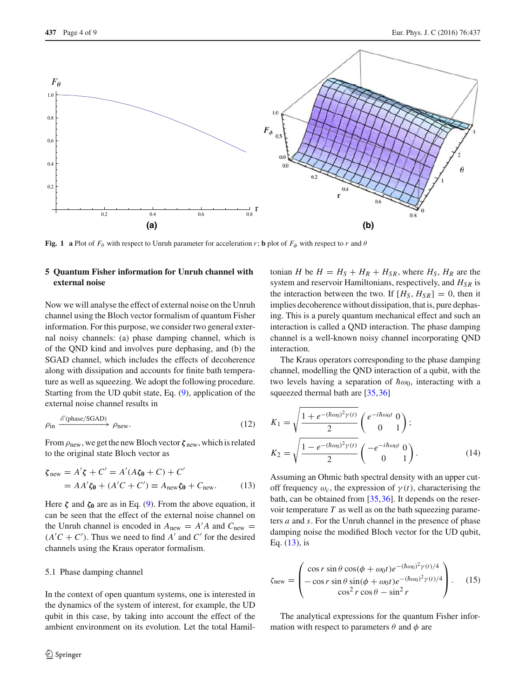

<span id="page-3-1"></span>**Fig. 1** a Plot of  $F_\theta$  with respect to Unruh parameter for acceleration *r*; **b** plot of  $F_\phi$  with respect to *r* and  $\theta$ 

# <span id="page-3-0"></span>**5 Quantum Fisher information for Unruh channel with external noise**

Now we will analyse the effect of external noise on the Unruh channel using the Bloch vector formalism of quantum Fisher information. For this purpose, we consider two general external noisy channels: (a) phase damping channel, which is of the QND kind and involves pure dephasing, and (b) the SGAD channel, which includes the effects of decoherence along with dissipation and accounts for finite bath temperature as well as squeezing. We adopt the following procedure. Starting from the UD qubit state, Eq. [\(9\)](#page-2-3), application of the external noise channel results in

$$
\rho_{\text{in}} \xrightarrow{\mathscr{E}(\text{phase}/\text{SGAD})} \rho_{\text{new}}.\tag{12}
$$

From  $\rho_{\text{new}}$ , we get the new Bloch vector  $\zeta_{\text{new}}$ , which is related to the original state Bloch vector as

<span id="page-3-2"></span>
$$
\zeta_{\text{new}} = A'\zeta + C' = A'(A\zeta_0 + C) + C'
$$
  
=  $AA'\zeta_0 + (A'C + C') \equiv A_{\text{new}}\zeta_0 + C_{\text{new}}.$  (13)

Here  $\zeta$  and  $\zeta_0$  are as in Eq. [\(9\)](#page-2-3). From the above equation, it can be seen that the effect of the external noise channel on the Unruh channel is encoded in  $A_{\text{new}} = A'A$  and  $C_{\text{new}} = A'$  $(A'C + C')$ . Thus we need to find *A'* and *C'* for the desired channels using the Kraus operator formalism.

### 5.1 Phase damping channel

In the context of open quantum systems, one is interested in the dynamics of the system of interest, for example, the UD qubit in this case, by taking into account the effect of the ambient environment on its evolution. Let the total Hamiltonian *H* be  $H = H_S + H_R + H_{SR}$ , where  $H_S$ ,  $H_R$  are the system and reservoir Hamiltonians, respectively, and *HS R* is the interaction between the two. If  $[H<sub>S</sub>, H<sub>SR</sub>] = 0$ , then it implies decoherence without dissipation, that is, pure dephasing. This is a purely quantum mechanical effect and such an interaction is called a QND interaction. The phase damping channel is a well-known noisy channel incorporating QND interaction.

The Kraus operators corresponding to the phase damping channel, modelling the QND interaction of a qubit, with the two levels having a separation of  $\hbar\omega_0$ , interacting with a squeezed thermal bath are [\[35,](#page-8-27)[36\]](#page-8-28)

$$
K_1 = \sqrt{\frac{1 + e^{-(\hbar \omega_0)^2 \gamma(t)}}{2}} \begin{pmatrix} e^{-i\hbar \omega_0 t} & 0\\ 0 & 1 \end{pmatrix};
$$
  
\n
$$
K_2 = \sqrt{\frac{1 - e^{-(\hbar \omega_0)^2 \gamma(t)}}{2}} \begin{pmatrix} -e^{-i\hbar \omega_0 t} & 0\\ 0 & 1 \end{pmatrix}.
$$
 (14)

Assuming an Ohmic bath spectral density with an upper cutoff frequency  $\omega_c$ , the expression of  $\gamma(t)$ , characterising the bath, can be obtained from [\[35](#page-8-27)[,36](#page-8-28)]. It depends on the reservoir temperature *T* as well as on the bath squeezing parameters *a* and *s*. For the Unruh channel in the presence of phase damping noise the modified Bloch vector for the UD qubit, Eq.  $(13)$ , is

$$
\zeta_{\text{new}} = \begin{pmatrix}\n\cos r \sin \theta \cos(\phi + \omega_0 t) e^{-(\hbar \omega_0)^2 \gamma(t)/4} \\
-\cos r \sin \theta \sin(\phi + \omega_0 t) e^{-(\hbar \omega_0)^2 \gamma(t)/4} \\
\cos^2 r \cos \theta - \sin^2 r\n\end{pmatrix}.
$$
\n(15)

The analytical expressions for the quantum Fisher information with respect to parameters  $\theta$  and  $\phi$  are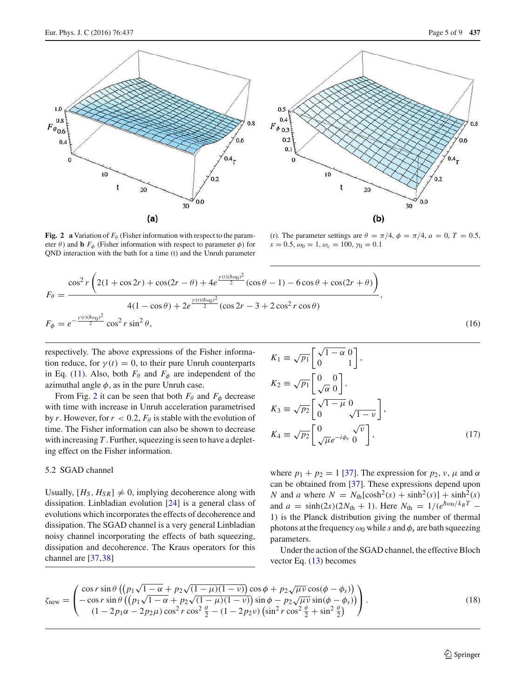



<span id="page-4-0"></span>**Fig. 2** a Variation of  $F_\theta$  (Fisher information with respect to the parameter  $\theta$ ) and **b**  $F_{\phi}$  (Fisher information with respect to parameter  $\phi$ ) for QND interaction with the bath for a time (t) and the Unruh parameter

(r). The parameter settings are  $\theta = \pi/4$ ,  $\phi = \pi/4$ ,  $a = 0$ ,  $T = 0.5$ ,  $s = 0.5, \omega_0 = 1, \omega_c = 100, \gamma_0 = 0.1$ 

$$
F_{\theta} = \frac{\cos^2 r \left( 2(1 + \cos 2r) + \cos(2r - \theta) + 4e^{\frac{\gamma(t)(\hbar \omega_0)^2}{2}} (\cos \theta - 1) - 6\cos \theta + \cos(2r + \theta) \right)}{4(1 - \cos \theta) + 2e^{\frac{\gamma(t)(\hbar \omega_0)^2}{2}} (\cos 2r - 3 + 2\cos^2 r \cos \theta)},
$$
  
\n
$$
F_{\phi} = e^{-\frac{\gamma(t)(\hbar \omega_0)^2}{2}} \cos^2 r \sin^2 \theta,
$$
\n(16)

respectively. The above expressions of the Fisher information reduce, for  $\gamma(t) = 0$ , to their pure Unruh counterparts in Eq. [\(11\)](#page-2-4). Also, both  $F_{\theta}$  and  $F_{\phi}$  are independent of the azimuthal angle  $\phi$ , as in the pure Unruh case.

From Fig. [2](#page-4-0) it can be seen that both  $F_{\theta}$  and  $F_{\phi}$  decrease with time with increase in Unruh acceleration parametrised by *r*. However, for  $r < 0.2$ ,  $F_\theta$  is stable with the evolution of time. The Fisher information can also be shown to decrease with increasing *T*. Further, squeezing is seen to have a depleting effect on the Fisher information.

### 5.2 SGAD channel

Usually,  $[H_S, H_{SR}] \neq 0$ , implying decoherence along with dissipation. Linbladian evolution [\[24\]](#page-8-18) is a general class of evolutions which incorporates the effects of decoherence and dissipation. The SGAD channel is a very general Linbladian noisy channel incorporating the effects of bath squeezing, dissipation and decoherence. The Kraus operators for this channel are [\[37](#page-8-29),[38\]](#page-8-30)

$$
K_1 \equiv \sqrt{p_1} \begin{bmatrix} \sqrt{1-\alpha} & 0 \\ 0 & 1 \end{bmatrix},
$$
  
\n
$$
K_2 \equiv \sqrt{p_1} \begin{bmatrix} 0 & 0 \\ \sqrt{\alpha} & 0 \end{bmatrix},
$$
  
\n
$$
K_3 \equiv \sqrt{p_2} \begin{bmatrix} \sqrt{1-\mu} & 0 \\ 0 & \sqrt{1-\nu} \end{bmatrix},
$$
  
\n
$$
K_4 \equiv \sqrt{p_2} \begin{bmatrix} 0 & \sqrt{\nu} \\ \sqrt{\mu}e^{-i\phi_s} & 0 \end{bmatrix},
$$
\n(17)

where  $p_1 + p_2 = 1$  [\[37](#page-8-29)]. The expression for  $p_2$ ,  $\nu$ ,  $\mu$  and  $\alpha$ can be obtained from [\[37\]](#page-8-29). These expressions depend upon *N* and *a* where  $N = N_{\text{th}}[\cosh^2(s) + \sinh^2(s)] + \sinh^2(s)$ and  $a = \sinh(2s)(2N_{\text{th}} + 1)$ . Here  $N_{\text{th}} = 1/(e^{\hbar \omega_0 / k_B T} - 1)$ 1) is the Planck distribution giving the number of thermal photons at the frequency  $\omega_0$  while *s* and  $\phi_s$  are bath squeezing parameters.

Under the action of the SGAD channel, the effective Bloch vector Eq. [\(13\)](#page-3-2) becomes

$$
\zeta_{\text{new}} = \begin{pmatrix}\n\cos r \sin \theta \left( (p_1 \sqrt{1 - \alpha} + p_2 \sqrt{(1 - \mu)(1 - \nu)}) \cos \phi + p_2 \sqrt{\mu \nu} \cos(\phi - \phi_s) \right) \\
-\cos r \sin \theta \left( (p_1 \sqrt{1 - \alpha} + p_2 \sqrt{(1 - \mu)(1 - \nu)}) \sin \phi - p_2 \sqrt{\mu \nu} \sin(\phi - \phi_s) \right) \\
(1 - 2p_1 \alpha - 2p_2 \mu) \cos^2 r \cos^2 \frac{\theta}{2} - (1 - 2p_2 \nu) \left( \sin^2 r \cos^2 \frac{\theta}{2} + \sin^2 \frac{\theta}{2} \right)\n\end{pmatrix}.
$$
\n(18)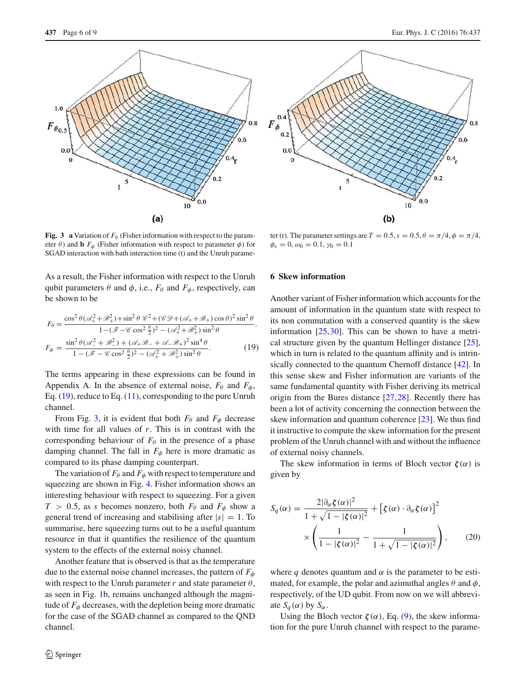$0<sub>2</sub>$ 

 $0<sub>0</sub>$ 

10

0.6



<span id="page-5-1"></span>**Fig. 3** a Variation of  $F_\theta$  (Fisher information with respect to the parameter  $\theta$ ) and **b**  $F_{\phi}$  (Fisher information with respect to parameter  $\phi$ ) for SGAD interaction with bath interaction time (t) and the Unruh parame-

As a result, the Fisher information with respect to the Unruh qubit parameters  $\theta$  and  $\phi$ , i.e.,  $F_{\theta}$  and  $F_{\phi}$ , respectively, can be shown to be

<span id="page-5-0"></span>
$$
F_{\theta} = \frac{\cos^2 \theta (\mathscr{A}_+^2 + \mathscr{B}_+^2) + \sin^2 \theta \, \mathscr{C}^2 + (\mathscr{C}\mathscr{D} + (\mathscr{A}_+ + \mathscr{B}_+) \cos \theta)^2 \sin^2 \theta}{1 - (\mathscr{F} - \mathscr{C} \cos^2 \frac{\theta}{2})^2 - (\mathscr{A}_+^2 + \mathscr{B}_+^2) \sin^2 \theta},
$$
  

$$
F_{\phi} = \frac{\sin^2 \theta (\mathscr{A}_-^2 + \mathscr{B}_-^2) + (\mathscr{A}_+ \mathscr{B}_- + \mathscr{A}_- \mathscr{B}_+)^2 \sin^4 \theta}{1 - (\mathscr{F} - \mathscr{C} \cos^2 \frac{\theta}{2})^2 - (\mathscr{A}_+^2 + \mathscr{B}_+^2) \sin^2 \theta}.
$$
 (19)

The terms appearing in these expressions can be found in Appendix A. In the absence of external noise,  $F_{\theta}$  and  $F_{\phi}$ , Eq. [\(19\)](#page-5-0), reduce to Eq. [\(11\)](#page-2-4), corresponding to the pure Unruh channel.

From Fig. [3,](#page-5-1) it is evident that both  $F_{\theta}$  and  $F_{\phi}$  decrease with time for all values of *r*. This is in contrast with the corresponding behaviour of  $F_{\theta}$  in the presence of a phase damping channel. The fall in  $F_{\phi}$  here is more dramatic as compared to its phase damping counterpart.

The variation of  $F_\theta$  and  $F_\phi$  with respect to temperature and squeezing are shown in Fig. [4.](#page-6-0) Fisher information shows an interesting behaviour with respect to squeezing. For a given  $T > 0.5$ , as *s* becomes nonzero, both  $F_{\theta}$  and  $F_{\phi}$  show a general trend of increasing and stabilising after  $|s| = 1$ . To summarise, here squeezing turns out to be a useful quantum resource in that it quantifies the resilience of the quantum system to the effects of the external noisy channel.

Another feature that is observed is that as the temperature due to the external noise channel increases, the pattern of  $F_{\phi}$ with respect to the Unruh parameter  $r$  and state parameter  $\theta$ , as seen in Fig. [1b](#page-3-1), remains unchanged although the magnitude of  $F_{\phi}$  decreases, with the depletion being more dramatic for the case of the SGAD channel as compared to the QND channel.

ter (r). The parameter settings are  $T = 0.5$ ,  $s = 0.5$ ,  $\theta = \pi/4$ ,  $\phi = \pi/4$ ,  $\phi_s = 0, \omega_0 = 0.1, \gamma_0 = 0.1$ 

 $(b)$ 

#### **6 Skew information**

 $\Omega$ 

 $0.0$ 

Another variant of Fisher information which accounts for the amount of information in the quantum state with respect to its non commutation with a conserved quantity is the skew information  $[25,30]$  $[25,30]$ . This can be shown to have a metrical structure given by the quantum Hellinger distance [\[25](#page-8-19)], which in turn is related to the quantum affinity and is intrinsically connected to the quantum Chernoff distance [\[42\]](#page-8-34). In this sense skew and Fisher information are variants of the same fundamental quantity with Fisher deriving its metrical origin from the Bures distance [\[27](#page-8-35)[,28](#page-8-21)]. Recently there has been a lot of activity concerning the connection between the skew information and quantum coherence [\[23\]](#page-8-17). We thus find it instructive to compute the skew information for the present problem of the Unruh channel with and without the influence of external noisy channels.

The skew information in terms of Bloch vector  $\zeta(\alpha)$  is given by

$$
S_q(\alpha) = \frac{2|\partial_{\alpha}\zeta(\alpha)|^2}{1 + \sqrt{1 - |\zeta(\alpha)|^2}} + [\zeta(\alpha) \cdot \partial_{\alpha}\zeta(\alpha)]^2
$$

$$
\times \left(\frac{1}{1 - |\zeta(\alpha)|^2} - \frac{1}{1 + \sqrt{1 - |\zeta(\alpha)|^2}}\right), \qquad (20)
$$

where *q* denotes quantum and  $\alpha$  is the parameter to be estimated, for example, the polar and azimuthal angles  $\theta$  and  $\phi$ . respectively, of the UD qubit. From now on we will abbreviate  $S_q(\alpha)$  by  $S_\alpha$ .

Using the Bloch vector  $\zeta(\alpha)$ , Eq. [\(9\)](#page-2-3), the skew information for the pure Unruh channel with respect to the parame-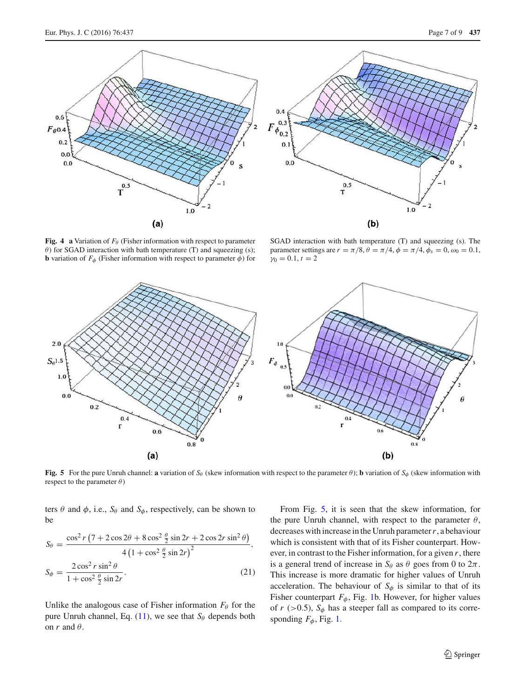



<span id="page-6-0"></span>**Fig. 4 a** Variation of  $F_\theta$  (Fisher information with respect to parameter  $\theta$ ) for SGAD interaction with bath temperature (T) and squeezing (s); **b** variation of  $F_{\phi}$  (Fisher information with respect to parameter  $\phi$ ) for

SGAD interaction with bath temperature (T) and squeezing (s). The parameter settings are  $r = \pi/8$ ,  $\theta = \pi/4$ ,  $\phi = \pi/4$ ,  $\phi_s = 0$ ,  $\omega_0 = 0.1$ ,  $\gamma_0 = 0.1, t = 2$ 



<span id="page-6-1"></span>**Fig. 5** For the pure Unruh channel: **a** variation of  $S_{\theta}$  (skew information with respect to the parameter  $\theta$ ); **b** variation of  $S_{\phi}$  (skew information with respect to the parameter  $\theta$ )

ters  $\theta$  and  $\phi$ , i.e.,  $S_{\theta}$  and  $S_{\phi}$ , respectively, can be shown to be

<span id="page-6-2"></span>
$$
S_{\theta} = \frac{\cos^2 r \left(7 + 2 \cos 2\theta + 8 \cos^2 \frac{\theta}{2} \sin 2r + 2 \cos 2r \sin^2 \theta\right)}{4 \left(1 + \cos^2 \frac{\theta}{2} \sin 2r\right)^2},
$$
  
\n
$$
S_{\phi} = \frac{2 \cos^2 r \sin^2 \theta}{1 + \cos^2 \frac{\theta}{2} \sin 2r}.
$$
\n(21)

Unlike the analogous case of Fisher information  $F_{\theta}$  for the pure Unruh channel, Eq.  $(11)$ , we see that  $S_\theta$  depends both on  $r$  and  $\theta$ .

From Fig. [5,](#page-6-1) it is seen that the skew information, for the pure Unruh channel, with respect to the parameter  $\theta$ , decreases with increase in the Unruh parameter*r*, a behaviour which is consistent with that of its Fisher counterpart. However, in contrast to the Fisher information, for a given *r*, there is a general trend of increase in  $S_\theta$  as  $\theta$  goes from 0 to  $2\pi$ . This increase is more dramatic for higher values of Unruh acceleration. The behaviour of  $S_{\phi}$  is similar to that of its Fisher counterpart  $F_{\phi}$ , Fig. [1b](#page-3-1). However, for higher values of  $r$  (>0.5),  $S_{\phi}$  has a steeper fall as compared to its corresponding  $F_{\phi}$ , Fig. [1.](#page-3-1)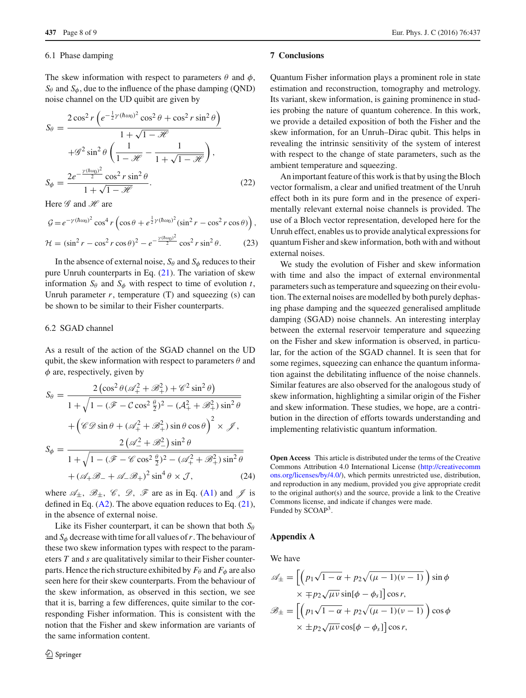#### 6.1 Phase damping

The skew information with respect to parameters  $\theta$  and  $\phi$ ,  $S_{\theta}$  and  $S_{\phi}$ , due to the influence of the phase damping (QND) noise channel on the UD quibit are given by

$$
S_{\theta} = \frac{2\cos^2 r \left(e^{-\frac{1}{2}\gamma(\hbar\omega_0)^2}\cos^2\theta + \cos^2 r \sin^2\theta\right)}{1 + \sqrt{1 - \mathcal{H}}} + \mathcal{G}^2 \sin^2 \theta \left(\frac{1}{1 - \mathcal{H}} - \frac{1}{1 + \sqrt{1 - \mathcal{H}}}\right),
$$

$$
S_{\phi} = \frac{2e^{-\frac{\gamma(\hbar\omega_0)^2}{2}}\cos^2 r \sin^2\theta}{1 + \sqrt{1 - \mathcal{H}}}.
$$
(22)

Here  $\mathscr G$  and  $\mathscr H$  are

$$
\mathcal{G} = e^{-\gamma (\hbar \omega_0)^2} \cos^4 r \left( \cos \theta + e^{\frac{1}{2} \gamma (\hbar \omega_0)^2} (\sin^2 r - \cos^2 r \cos \theta) \right),
$$

$$
\mathcal{H} = (\sin^2 r - \cos^2 r \cos \theta)^2 - e^{-\frac{r(\cos \theta)}{2}} \cos^2 r \sin^2 \theta. \tag{23}
$$

In the absence of external noise,  $S_\theta$  and  $S_\phi$  reduces to their pure Unruh counterparts in Eq. [\(21\)](#page-6-2). The variation of skew information  $S_\theta$  and  $S_\phi$  with respect to time of evolution *t*, Unruh parameter  $r$ , temperature  $(T)$  and squeezing  $(s)$  can be shown to be similar to their Fisher counterparts.

## 6.2 SGAD channel

As a result of the action of the SGAD channel on the UD qubit, the skew information with respect to parameters  $\theta$  and  $\phi$  are, respectively, given by

$$
S_{\theta} = \frac{2\left(\cos^{2}\theta\left(\mathscr{A}_{+}^{2} + \mathscr{B}_{+}^{2}\right) + \mathscr{C}^{2}\sin^{2}\theta\right)}{1 + \sqrt{1 - (\mathscr{F} - \mathcal{C}\cos^{2}\frac{\theta}{2})^{2} - (\mathscr{A}_{+}^{2} + \mathscr{B}_{+}^{2})\sin^{2}\theta}} + \left(\mathscr{C}\mathscr{D}\sin\theta + (\mathscr{A}_{+}^{2} + \mathscr{B}_{+}^{2})\sin\theta\cos\theta\right)^{2} \times \mathscr{J},
$$
  

$$
S_{\phi} = \frac{2\left(\mathscr{A}_{-}^{2} + \mathscr{B}_{-}^{2}\right)\sin^{2}\theta}{1 + \sqrt{1 - (\mathscr{F} - \mathscr{C}\cos^{2}\frac{\theta}{2})^{2} - (\mathscr{A}_{+}^{2} + \mathscr{B}_{+}^{2})\sin^{2}\theta}} + \left(\mathscr{A}_{+}\mathscr{B}_{-} + \mathscr{A}_{-}\mathscr{B}_{+}\right)^{2}\sin^{4}\theta \times \mathscr{J},
$$
 (24)

where  $\mathscr{A}_{\pm}$ ,  $\mathscr{B}_{\pm}$ ,  $\mathscr{C}$ ,  $\mathscr{D}$ ,  $\mathscr{F}$  are as in Eq. [\(A1\)](#page-7-0) and  $\mathscr{J}$  is defined in Eq.  $(A2)$ . The above equation reduces to Eq.  $(21)$ , in the absence of external noise.

Like its Fisher counterpart, it can be shown that both  $S_{\theta}$ and  $S_{\phi}$  decrease with time for all values of r. The behaviour of these two skew information types with respect to the parameters *T* and *s* are qualitatively similar to their Fisher counterparts. Hence the rich structure exhibited by  $F_\theta$  and  $F_\phi$  are also seen here for their skew counterparts. From the behaviour of the skew information, as observed in this section, we see that it is, barring a few differences, quite similar to the corresponding Fisher information. This is consistent with the notion that the Fisher and skew information are variants of the same information content.

#### **7 Conclusions**

Quantum Fisher information plays a prominent role in state estimation and reconstruction, tomography and metrology. Its variant, skew information, is gaining prominence in studies probing the nature of quantum coherence. In this work, we provide a detailed exposition of both the Fisher and the skew information, for an Unruh–Dirac qubit. This helps in revealing the intrinsic sensitivity of the system of interest with respect to the change of state parameters, such as the ambient temperature and squeezing.

An important feature of this work is that by using the Bloch vector formalism, a clear and unified treatment of the Unruh effect both in its pure form and in the presence of experimentally relevant external noise channels is provided. The use of a Bloch vector representation, developed here for the Unruh effect, enables us to provide analytical expressions for quantum Fisher and skew information, both with and without external noises.

We study the evolution of Fisher and skew information with time and also the impact of external environmental parameters such as temperature and squeezing on their evolution. The external noises are modelled by both purely dephasing phase damping and the squeezed generalised amplitude damping (SGAD) noise channels. An interesting interplay between the external reservoir temperature and squeezing on the Fisher and skew information is observed, in particular, for the action of the SGAD channel. It is seen that for some regimes, squeezing can enhance the quantum information against the debilitating influence of the noise channels. Similar features are also observed for the analogous study of skew information, highlighting a similar origin of the Fisher and skew information. These studies, we hope, are a contribution in the direction of efforts towards understanding and implementing relativistic quantum information.

**Open Access** This article is distributed under the terms of the Creative Commons Attribution 4.0 International License [\(http://creativecomm](http://creativecommons.org/licenses/by/4.0/) [ons.org/licenses/by/4.0/\)](http://creativecommons.org/licenses/by/4.0/), which permits unrestricted use, distribution, and reproduction in any medium, provided you give appropriate credit to the original author(s) and the source, provide a link to the Creative Commons license, and indicate if changes were made. Funded by SCOAP<sup>3</sup>.

### **Appendix A**

We have

<span id="page-7-0"></span>
$$
\mathscr{A}_{\pm} = \left[ \left( p_1 \sqrt{1 - \alpha} + p_2 \sqrt{(\mu - 1)(\nu - 1)} \right) \sin \phi \right. \n\times \mp p_2 \sqrt{\mu \nu} \sin[\phi - \phi_s] \right] \cos r,
$$
\n
$$
\mathscr{B}_{\pm} = \left[ \left( p_1 \sqrt{1 - \alpha} + p_2 \sqrt{(\mu - 1)(\nu - 1)} \right) \cos \phi \right. \n\times \pm p_2 \sqrt{\mu \nu} \cos[\phi - \phi_s] \right] \cos r,
$$